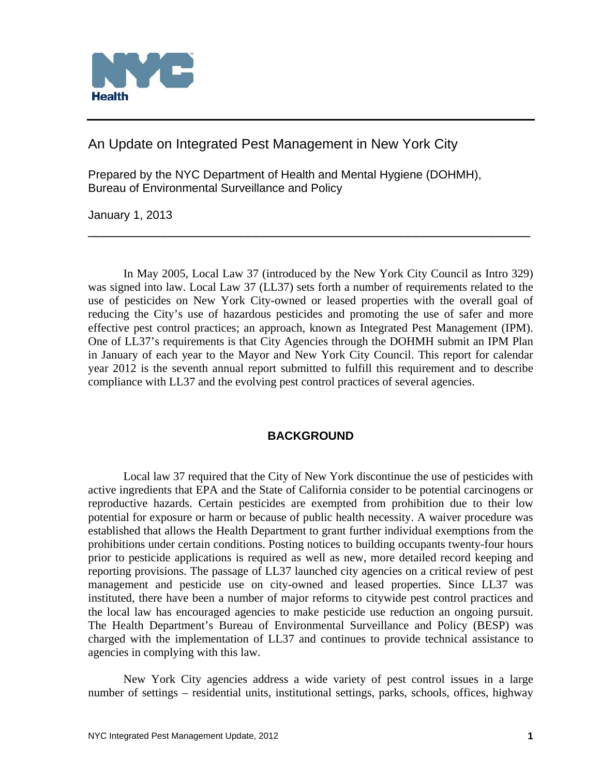

An Update on Integrated Pest Management in New York City

Prepared by the NYC Department of Health and Mental Hygiene (DOHMH), Bureau of Environmental Surveillance and Policy

January 1, 2013

 In May 2005, Local Law 37 (introduced by the New York City Council as Intro 329) was signed into law. Local Law 37 (LL37) sets forth a number of requirements related to the use of pesticides on New York City-owned or leased properties with the overall goal of reducing the City's use of hazardous pesticides and promoting the use of safer and more effective pest control practices; an approach, known as Integrated Pest Management (IPM). One of LL37's requirements is that City Agencies through the DOHMH submit an IPM Plan in January of each year to the Mayor and New York City Council. This report for calendar year 2012 is the seventh annual report submitted to fulfill this requirement and to describe compliance with LL37 and the evolving pest control practices of several agencies.

\_\_\_\_\_\_\_\_\_\_\_\_\_\_\_\_\_\_\_\_\_\_\_\_\_\_\_\_\_\_\_\_\_\_\_\_\_\_\_\_\_\_\_\_\_\_\_\_\_\_\_\_\_\_\_\_\_\_

# **BACKGROUND**

 Local law 37 required that the City of New York discontinue the use of pesticides with active ingredients that EPA and the State of California consider to be potential carcinogens or reproductive hazards. Certain pesticides are exempted from prohibition due to their low potential for exposure or harm or because of public health necessity. A waiver procedure was established that allows the Health Department to grant further individual exemptions from the prohibitions under certain conditions. Posting notices to building occupants twenty-four hours prior to pesticide applications is required as well as new, more detailed record keeping and reporting provisions. The passage of LL37 launched city agencies on a critical review of pest management and pesticide use on city-owned and leased properties. Since LL37 was instituted, there have been a number of major reforms to citywide pest control practices and the local law has encouraged agencies to make pesticide use reduction an ongoing pursuit. The Health Department's Bureau of Environmental Surveillance and Policy (BESP) was charged with the implementation of LL37 and continues to provide technical assistance to agencies in complying with this law.

 New York City agencies address a wide variety of pest control issues in a large number of settings – residential units, institutional settings, parks, schools, offices, highway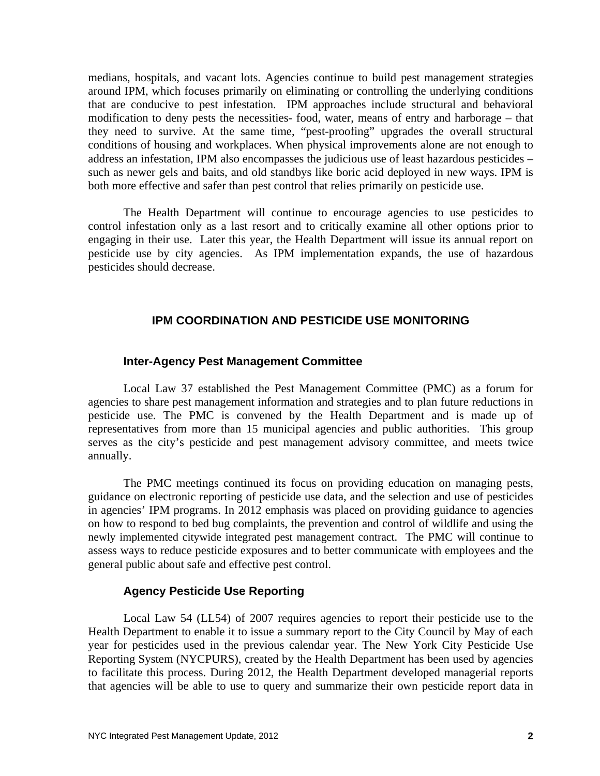medians, hospitals, and vacant lots. Agencies continue to build pest management strategies around IPM, which focuses primarily on eliminating or controlling the underlying conditions that are conducive to pest infestation. IPM approaches include structural and behavioral modification to deny pests the necessities- food, water, means of entry and harborage – that they need to survive. At the same time, "pest-proofing" upgrades the overall structural conditions of housing and workplaces. When physical improvements alone are not enough to address an infestation, IPM also encompasses the judicious use of least hazardous pesticides – such as newer gels and baits, and old standbys like boric acid deployed in new ways. IPM is both more effective and safer than pest control that relies primarily on pesticide use.

 The Health Department will continue to encourage agencies to use pesticides to control infestation only as a last resort and to critically examine all other options prior to engaging in their use. Later this year, the Health Department will issue its annual report on pesticide use by city agencies. As IPM implementation expands, the use of hazardous pesticides should decrease.

## **IPM COORDINATION AND PESTICIDE USE MONITORING**

#### **Inter-Agency Pest Management Committee**

Local Law 37 established the Pest Management Committee (PMC) as a forum for agencies to share pest management information and strategies and to plan future reductions in pesticide use. The PMC is convened by the Health Department and is made up of representatives from more than 15 municipal agencies and public authorities. This group serves as the city's pesticide and pest management advisory committee, and meets twice annually.

 The PMC meetings continued its focus on providing education on managing pests, guidance on electronic reporting of pesticide use data, and the selection and use of pesticides in agencies' IPM programs. In 2012 emphasis was placed on providing guidance to agencies on how to respond to bed bug complaints, the prevention and control of wildlife and using the newly implemented citywide integrated pest management contract. The PMC will continue to assess ways to reduce pesticide exposures and to better communicate with employees and the general public about safe and effective pest control.

#### **Agency Pesticide Use Reporting**

Local Law 54 (LL54) of 2007 requires agencies to report their pesticide use to the Health Department to enable it to issue a summary report to the City Council by May of each year for pesticides used in the previous calendar year. The New York City Pesticide Use Reporting System (NYCPURS), created by the Health Department has been used by agencies to facilitate this process. During 2012, the Health Department developed managerial reports that agencies will be able to use to query and summarize their own pesticide report data in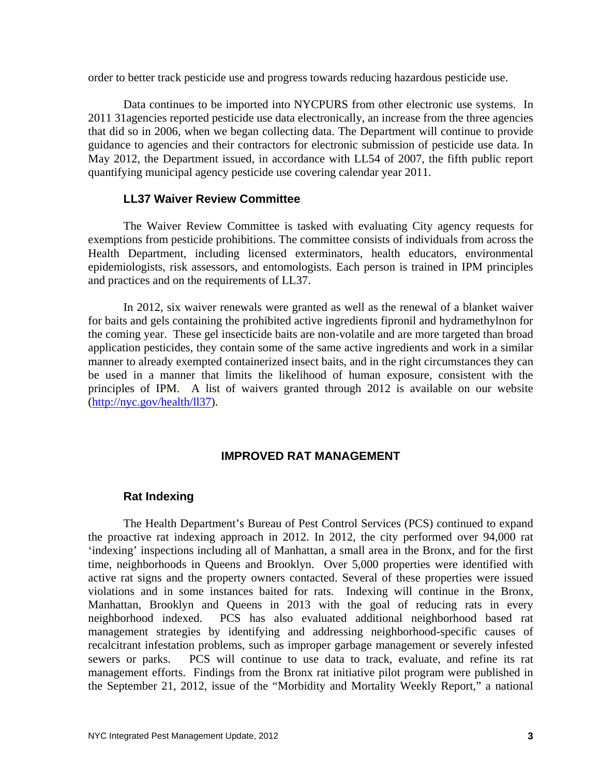order to better track pesticide use and progress towards reducing hazardous pesticide use.

 Data continues to be imported into NYCPURS from other electronic use systems. In 2011 31agencies reported pesticide use data electronically, an increase from the three agencies that did so in 2006, when we began collecting data. The Department will continue to provide guidance to agencies and their contractors for electronic submission of pesticide use data. In May 2012, the Department issued, in accordance with LL54 of 2007, the fifth public report quantifying municipal agency pesticide use covering calendar year 2011.

## **LL37 Waiver Review Committee**

 The Waiver Review Committee is tasked with evaluating City agency requests for exemptions from pesticide prohibitions. The committee consists of individuals from across the Health Department, including licensed exterminators, health educators, environmental epidemiologists, risk assessors, and entomologists. Each person is trained in IPM principles and practices and on the requirements of LL37.

 In 2012, six waiver renewals were granted as well as the renewal of a blanket waiver for baits and gels containing the prohibited active ingredients fipronil and hydramethylnon for the coming year. These gel insecticide baits are non-volatile and are more targeted than broad application pesticides, they contain some of the same active ingredients and work in a similar manner to already exempted containerized insect baits, and in the right circumstances they can be used in a manner that limits the likelihood of human exposure, consistent with the principles of IPM. A list of waivers granted through 2012 is available on our website (http://nyc.gov/health/ll37).

#### **IMPROVED RAT MANAGEMENT**

#### **Rat Indexing**

 The Health Department's Bureau of Pest Control Services (PCS) continued to expand the proactive rat indexing approach in 2012. In 2012, the city performed over 94,000 rat 'indexing' inspections including all of Manhattan, a small area in the Bronx, and for the first time, neighborhoods in Queens and Brooklyn. Over 5,000 properties were identified with active rat signs and the property owners contacted. Several of these properties were issued violations and in some instances baited for rats. Indexing will continue in the Bronx, Manhattan, Brooklyn and Queens in 2013 with the goal of reducing rats in every neighborhood indexed. PCS has also evaluated additional neighborhood based rat management strategies by identifying and addressing neighborhood-specific causes of recalcitrant infestation problems, such as improper garbage management or severely infested sewers or parks. PCS will continue to use data to track, evaluate, and refine its rat management efforts. Findings from the Bronx rat initiative pilot program were published in the September 21, 2012, issue of the "Morbidity and Mortality Weekly Report," a national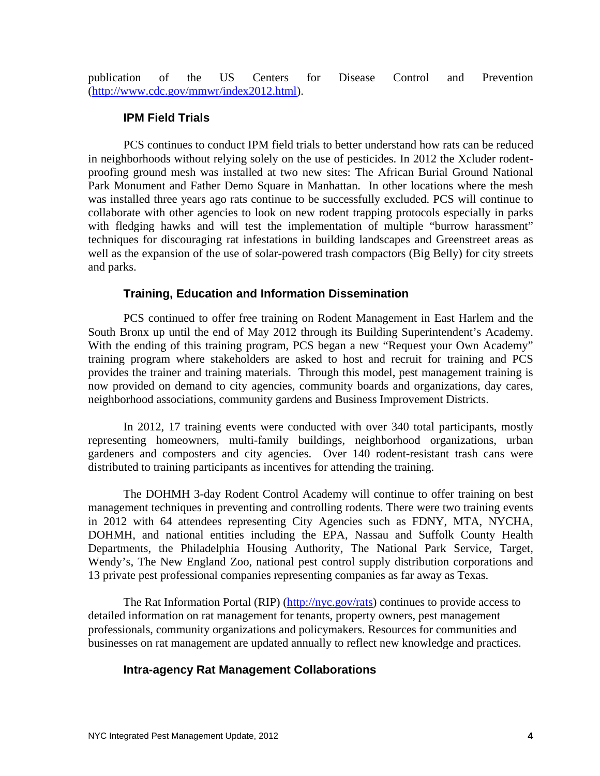publication of the US Centers for Disease Control and Prevention (http://www.cdc.gov/mmwr/index2012.html).

#### **IPM Field Trials**

 PCS continues to conduct IPM field trials to better understand how rats can be reduced in neighborhoods without relying solely on the use of pesticides. In 2012 the Xcluder rodentproofing ground mesh was installed at two new sites: The African Burial Ground National Park Monument and Father Demo Square in Manhattan. In other locations where the mesh was installed three years ago rats continue to be successfully excluded. PCS will continue to collaborate with other agencies to look on new rodent trapping protocols especially in parks with fledging hawks and will test the implementation of multiple "burrow harassment" techniques for discouraging rat infestations in building landscapes and Greenstreet areas as well as the expansion of the use of solar-powered trash compactors (Big Belly) for city streets and parks.

## **Training, Education and Information Dissemination**

 PCS continued to offer free training on Rodent Management in East Harlem and the South Bronx up until the end of May 2012 through its Building Superintendent's Academy. With the ending of this training program, PCS began a new "Request your Own Academy" training program where stakeholders are asked to host and recruit for training and PCS provides the trainer and training materials. Through this model, pest management training is now provided on demand to city agencies, community boards and organizations, day cares, neighborhood associations, community gardens and Business Improvement Districts.

 In 2012, 17 training events were conducted with over 340 total participants, mostly representing homeowners, multi-family buildings, neighborhood organizations, urban gardeners and composters and city agencies. Over 140 rodent-resistant trash cans were distributed to training participants as incentives for attending the training.

 The DOHMH 3-day Rodent Control Academy will continue to offer training on best management techniques in preventing and controlling rodents. There were two training events in 2012 with 64 attendees representing City Agencies such as FDNY, MTA, NYCHA, DOHMH, and national entities including the EPA, Nassau and Suffolk County Health Departments, the Philadelphia Housing Authority, The National Park Service, Target, Wendy's, The New England Zoo, national pest control supply distribution corporations and 13 private pest professional companies representing companies as far away as Texas.

 The Rat Information Portal (RIP) (http://nyc.gov/rats) continues to provide access to detailed information on rat management for tenants, property owners, pest management professionals, community organizations and policymakers. Resources for communities and businesses on rat management are updated annually to reflect new knowledge and practices.

## **Intra-agency Rat Management Collaborations**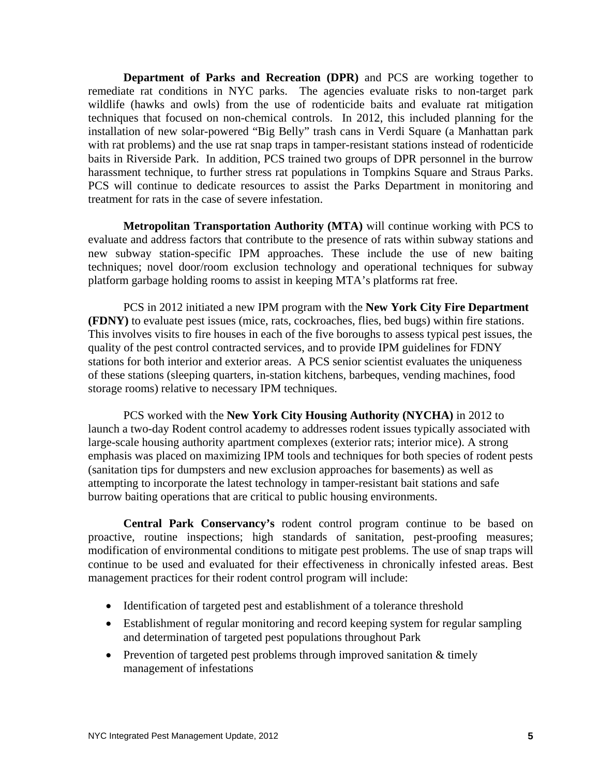**Department of Parks and Recreation (DPR)** and PCS are working together to remediate rat conditions in NYC parks. The agencies evaluate risks to non-target park wildlife (hawks and owls) from the use of rodenticide baits and evaluate rat mitigation techniques that focused on non-chemical controls. In 2012, this included planning for the installation of new solar-powered "Big Belly" trash cans in Verdi Square (a Manhattan park with rat problems) and the use rat snap traps in tamper-resistant stations instead of rodenticide baits in Riverside Park. In addition, PCS trained two groups of DPR personnel in the burrow harassment technique, to further stress rat populations in Tompkins Square and Straus Parks. PCS will continue to dedicate resources to assist the Parks Department in monitoring and treatment for rats in the case of severe infestation.

 **Metropolitan Transportation Authority (MTA)** will continue working with PCS to evaluate and address factors that contribute to the presence of rats within subway stations and new subway station-specific IPM approaches. These include the use of new baiting techniques; novel door/room exclusion technology and operational techniques for subway platform garbage holding rooms to assist in keeping MTA's platforms rat free.

PCS in 2012 initiated a new IPM program with the **New York City Fire Department (FDNY)** to evaluate pest issues (mice, rats, cockroaches, flies, bed bugs) within fire stations. This involves visits to fire houses in each of the five boroughs to assess typical pest issues, the quality of the pest control contracted services, and to provide IPM guidelines for FDNY stations for both interior and exterior areas. A PCS senior scientist evaluates the uniqueness of these stations (sleeping quarters, in-station kitchens, barbeques, vending machines, food storage rooms) relative to necessary IPM techniques.

PCS worked with the **New York City Housing Authority (NYCHA)** in 2012 to launch a two-day Rodent control academy to addresses rodent issues typically associated with large-scale housing authority apartment complexes (exterior rats; interior mice). A strong emphasis was placed on maximizing IPM tools and techniques for both species of rodent pests (sanitation tips for dumpsters and new exclusion approaches for basements) as well as attempting to incorporate the latest technology in tamper-resistant bait stations and safe burrow baiting operations that are critical to public housing environments.

**Central Park Conservancy's** rodent control program continue to be based on proactive, routine inspections; high standards of sanitation, pest-proofing measures; modification of environmental conditions to mitigate pest problems. The use of snap traps will continue to be used and evaluated for their effectiveness in chronically infested areas. Best management practices for their rodent control program will include:

- Identification of targeted pest and establishment of a tolerance threshold
- Establishment of regular monitoring and record keeping system for regular sampling and determination of targeted pest populations throughout Park
- Prevention of targeted pest problems through improved sanitation  $&$  timely management of infestations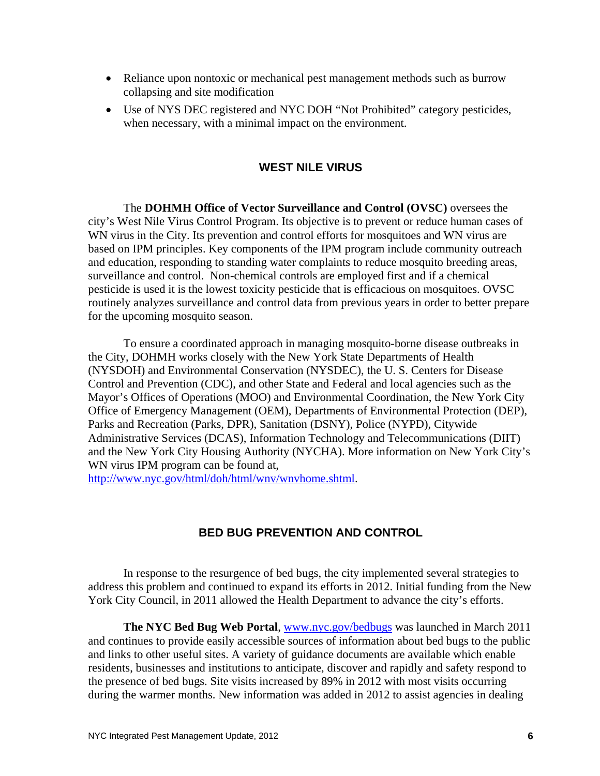- Reliance upon nontoxic or mechanical pest management methods such as burrow collapsing and site modification
- Use of NYS DEC registered and NYC DOH "Not Prohibited" category pesticides, when necessary, with a minimal impact on the environment.

## **WEST NILE VIRUS**

 The **DOHMH Office of Vector Surveillance and Control (OVSC)** oversees the city's West Nile Virus Control Program. Its objective is to prevent or reduce human cases of WN virus in the City. Its prevention and control efforts for mosquitoes and WN virus are based on IPM principles. Key components of the IPM program include community outreach and education, responding to standing water complaints to reduce mosquito breeding areas, surveillance and control. Non-chemical controls are employed first and if a chemical pesticide is used it is the lowest toxicity pesticide that is efficacious on mosquitoes. OVSC routinely analyzes surveillance and control data from previous years in order to better prepare for the upcoming mosquito season.

 To ensure a coordinated approach in managing mosquito-borne disease outbreaks in the City, DOHMH works closely with the New York State Departments of Health (NYSDOH) and Environmental Conservation (NYSDEC), the U. S. Centers for Disease Control and Prevention (CDC), and other State and Federal and local agencies such as the Mayor's Offices of Operations (MOO) and Environmental Coordination, the New York City Office of Emergency Management (OEM), Departments of Environmental Protection (DEP), Parks and Recreation (Parks, DPR), Sanitation (DSNY), Police (NYPD), Citywide Administrative Services (DCAS), Information Technology and Telecommunications (DIIT) and the New York City Housing Authority (NYCHA). More information on New York City's WN virus IPM program can be found at,

http://www.nyc.gov/html/doh/html/wnv/wnvhome.shtml.

## **BED BUG PREVENTION AND CONTROL**

In response to the resurgence of bed bugs, the city implemented several strategies to address this problem and continued to expand its efforts in 2012. Initial funding from the New York City Council, in 2011 allowed the Health Department to advance the city's efforts.

**The NYC Bed Bug Web Portal**, www.nyc.gov/bedbugs was launched in March 2011 and continues to provide easily accessible sources of information about bed bugs to the public and links to other useful sites. A variety of guidance documents are available which enable residents, businesses and institutions to anticipate, discover and rapidly and safety respond to the presence of bed bugs. Site visits increased by 89% in 2012 with most visits occurring during the warmer months. New information was added in 2012 to assist agencies in dealing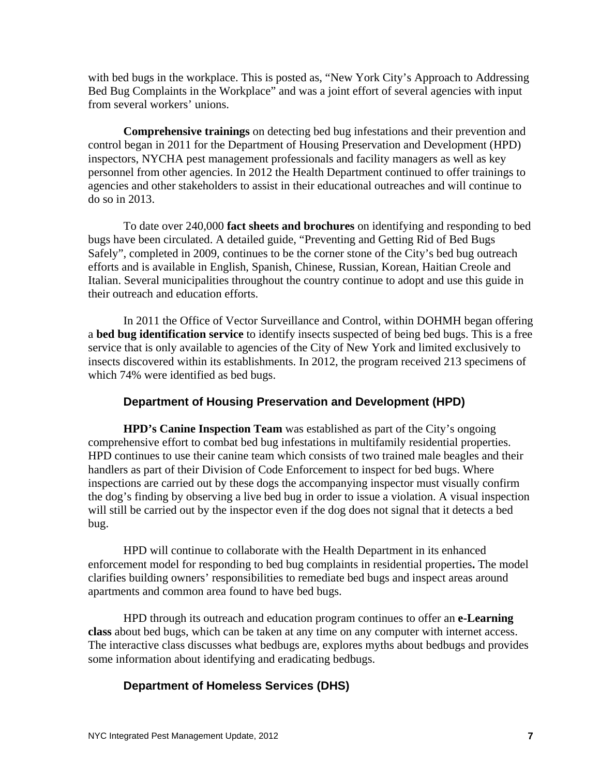with bed bugs in the workplace. This is posted as, "New York City's Approach to Addressing Bed Bug Complaints in the Workplace" and was a joint effort of several agencies with input from several workers' unions.

**Comprehensive trainings** on detecting bed bug infestations and their prevention and control began in 2011 for the Department of Housing Preservation and Development (HPD) inspectors, NYCHA pest management professionals and facility managers as well as key personnel from other agencies. In 2012 the Health Department continued to offer trainings to agencies and other stakeholders to assist in their educational outreaches and will continue to do so in 2013.

To date over 240,000 **fact sheets and brochures** on identifying and responding to bed bugs have been circulated. A detailed guide, "Preventing and Getting Rid of Bed Bugs Safely", completed in 2009, continues to be the corner stone of the City's bed bug outreach efforts and is available in English, Spanish, Chinese, Russian, Korean, Haitian Creole and Italian. Several municipalities throughout the country continue to adopt and use this guide in their outreach and education efforts.

In 2011 the Office of Vector Surveillance and Control, within DOHMH began offering a **bed bug identification service** to identify insects suspected of being bed bugs. This is a free service that is only available to agencies of the City of New York and limited exclusively to insects discovered within its establishments. In 2012, the program received 213 specimens of which 74% were identified as bed bugs.

## **Department of Housing Preservation and Development (HPD)**

 **HPD's Canine Inspection Team** was established as part of the City's ongoing comprehensive effort to combat bed bug infestations in multifamily residential properties. HPD continues to use their canine team which consists of two trained male beagles and their handlers as part of their Division of Code Enforcement to inspect for bed bugs. Where inspections are carried out by these dogs the accompanying inspector must visually confirm the dog's finding by observing a live bed bug in order to issue a violation. A visual inspection will still be carried out by the inspector even if the dog does not signal that it detects a bed bug.

HPD will continue to collaborate with the Health Department in its enhanced enforcement model for responding to bed bug complaints in residential properties**.** The model clarifies building owners' responsibilities to remediate bed bugs and inspect areas around apartments and common area found to have bed bugs.

HPD through its outreach and education program continues to offer an **e-Learning class** about bed bugs, which can be taken at any time on any computer with internet access. The interactive class discusses what bedbugs are, explores myths about bedbugs and provides some information about identifying and eradicating bedbugs.

## **Department of Homeless Services (DHS)**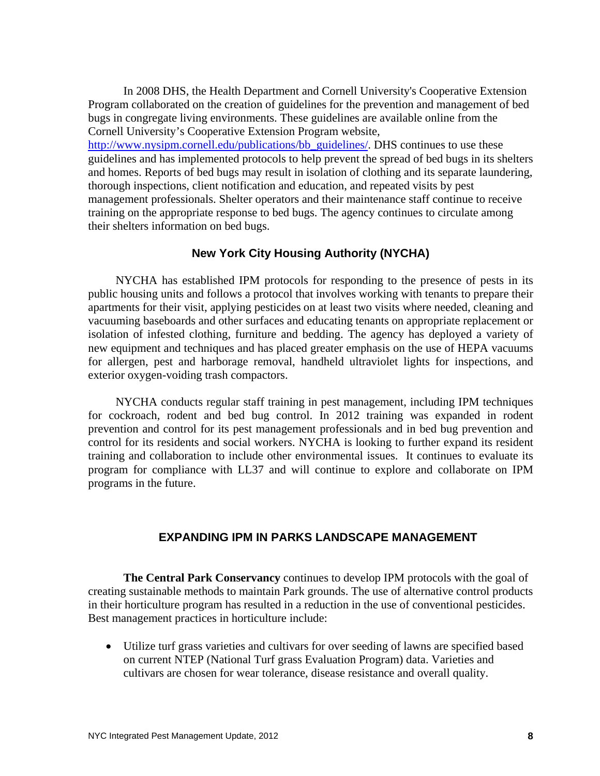In 2008 DHS, the Health Department and Cornell University's Cooperative Extension Program collaborated on the creation of guidelines for the prevention and management of bed bugs in congregate living environments. These guidelines are available online from the Cornell University's Cooperative Extension Program website,

http://www.nysipm.cornell.edu/publications/bb\_guidelines/. DHS continues to use these guidelines and has implemented protocols to help prevent the spread of bed bugs in its shelters and homes. Reports of bed bugs may result in isolation of clothing and its separate laundering, thorough inspections, client notification and education, and repeated visits by pest management professionals. Shelter operators and their maintenance staff continue to receive training on the appropriate response to bed bugs. The agency continues to circulate among their shelters information on bed bugs.

# **New York City Housing Authority (NYCHA)**

 NYCHA has established IPM protocols for responding to the presence of pests in its public housing units and follows a protocol that involves working with tenants to prepare their apartments for their visit, applying pesticides on at least two visits where needed, cleaning and vacuuming baseboards and other surfaces and educating tenants on appropriate replacement or isolation of infested clothing, furniture and bedding. The agency has deployed a variety of new equipment and techniques and has placed greater emphasis on the use of HEPA vacuums for allergen, pest and harborage removal, handheld ultraviolet lights for inspections, and exterior oxygen-voiding trash compactors.

 NYCHA conducts regular staff training in pest management, including IPM techniques for cockroach, rodent and bed bug control. In 2012 training was expanded in rodent prevention and control for its pest management professionals and in bed bug prevention and control for its residents and social workers. NYCHA is looking to further expand its resident training and collaboration to include other environmental issues. It continues to evaluate its program for compliance with LL37 and will continue to explore and collaborate on IPM programs in the future.

# **EXPANDING IPM IN PARKS LANDSCAPE MANAGEMENT**

**The Central Park Conservancy** continues to develop IPM protocols with the goal of creating sustainable methods to maintain Park grounds. The use of alternative control products in their horticulture program has resulted in a reduction in the use of conventional pesticides. Best management practices in horticulture include:

 Utilize turf grass varieties and cultivars for over seeding of lawns are specified based on current NTEP (National Turf grass Evaluation Program) data. Varieties and cultivars are chosen for wear tolerance, disease resistance and overall quality.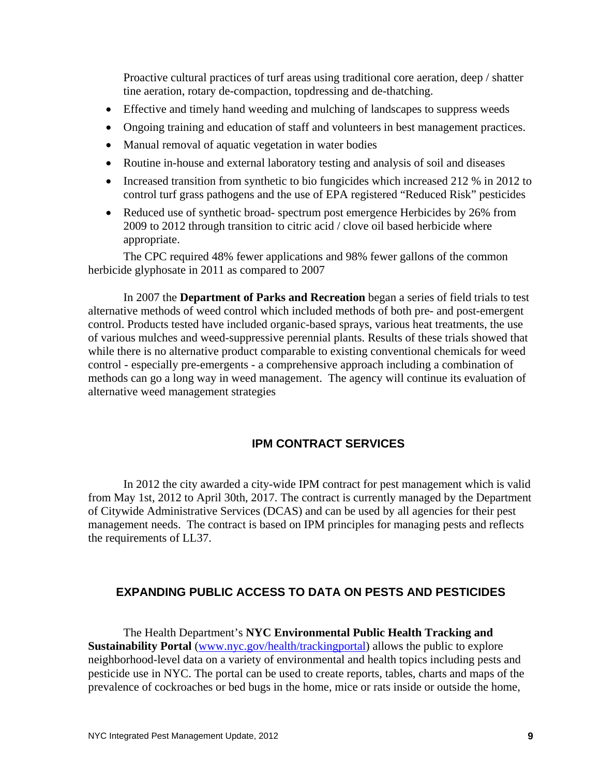Proactive cultural practices of turf areas using traditional core aeration, deep / shatter tine aeration, rotary de-compaction, topdressing and de-thatching.

- Effective and timely hand weeding and mulching of landscapes to suppress weeds
- Ongoing training and education of staff and volunteers in best management practices.
- Manual removal of aquatic vegetation in water bodies
- Routine in-house and external laboratory testing and analysis of soil and diseases
- Increased transition from synthetic to bio fungicides which increased 212 % in 2012 to control turf grass pathogens and the use of EPA registered "Reduced Risk" pesticides
- Reduced use of synthetic broad- spectrum post emergence Herbicides by 26% from 2009 to 2012 through transition to citric acid / clove oil based herbicide where appropriate.

The CPC required 48% fewer applications and 98% fewer gallons of the common herbicide glyphosate in 2011 as compared to 2007

In 2007 the **Department of Parks and Recreation** began a series of field trials to test alternative methods of weed control which included methods of both pre- and post-emergent control. Products tested have included organic-based sprays, various heat treatments, the use of various mulches and weed-suppressive perennial plants. Results of these trials showed that while there is no alternative product comparable to existing conventional chemicals for weed control - especially pre-emergents - a comprehensive approach including a combination of methods can go a long way in weed management. The agency will continue its evaluation of alternative weed management strategies

## **IPM CONTRACT SERVICES**

 In 2012 the city awarded a city-wide IPM contract for pest management which is valid from May 1st, 2012 to April 30th, 2017. The contract is currently managed by the Department of Citywide Administrative Services (DCAS) and can be used by all agencies for their pest management needs. The contract is based on IPM principles for managing pests and reflects the requirements of LL37.

# **EXPANDING PUBLIC ACCESS TO DATA ON PESTS AND PESTICIDES**

 The Health Department's **NYC Environmental Public Health Tracking and Sustainability Portal** (www.nyc.gov/health/trackingportal) allows the public to explore neighborhood-level data on a variety of environmental and health topics including pests and pesticide use in NYC. The portal can be used to create reports, tables, charts and maps of the prevalence of cockroaches or bed bugs in the home, mice or rats inside or outside the home,